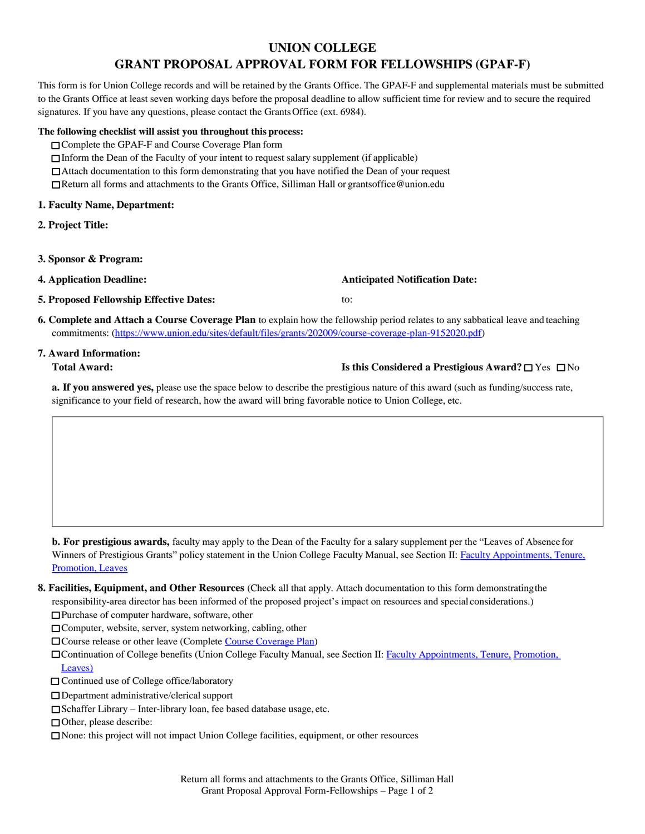# **UNION COLLEGE**

# **GRANT PROPOSAL APPROVAL FORM FOR FELLOWSHIPS (GPAF-F)**

This form is for Union College records and will be retained by the Grants Office. The GPAF-F and supplemental materials must be submitted to the Grants Office at least seven working days before the proposal deadline to allow sufficient time for review and to secure the required signatures. If you have any questions, please contact the GrantsOffice (ext. 6984).

#### **The following checklist will assist you throughout this process:**

- Complete the GPAF-F and Course Coverage Plan form
- Inform the Dean of the Faculty of your intent to request salary supplement (if applicable)
- Attach documentation to this form demonstrating that you have notified the Dean of your request
- Return all forms and attachments to the Grants Office, Silliman Hall or [grantsoffice@union.edu](mailto:grantsoffice@union.edu)

### **1. Faculty Name, Department:**

- **2. Project Title:**
- **3. Sponsor & Program:**
- **4. Application Deadline:**

## **5. Proposed Fellowship Effective Dates:**

**Anticipated Notification Date:** 

**6. Complete and Attach a Course Coverage Plan** to explain how the fellowship period relates to any sabbatical leave and teaching commitments: [\(https://www.union.edu/sites/default/files/grants/202009/course-coverage-plan-9152020.pdf\)](https://www.union.edu/sites/default/files/grants/202009/course-coverage-plan-9152020.pdf)

to:

# **7. Award Information:**

# **Total Award: Is this Considered a Prestigious Award?** Yes No

**a. If you answered yes,** please use the space below to describe the prestigious nature of this award (such as funding/success rate, significance to your field of research, how the award will bring favorable notice to Union College, etc.

**b. For prestigious awards,** faculty may apply to the Dean of the Faculty for a salary supplement per the "Leaves of Absence for Winners of Prestigious Grants" policy statement in the Union College Faculty Manual, see Section II: Faculty [Appointments,](https://www.union.edu/sites/default/files/academic-affairs/202009/2020-09-01-complete-fm-sections-list.pdf) Tenure, [Promotion,](https://www.union.edu/Academics/AcademicAffairs/GovernanceCommittees/FacultyManual/2017-01-01/FM-Section-II.pdf#page%3D39) Leaves

**8. Facilities, Equipment, and Other Resources** (Check all that apply. Attach documentation to this form demonstratingthe responsibility-area director has been informed of the proposed project's impact on resources and special considerations.)

□Purchase of computer hardware, software, other

- Computer, website, server, system networking, cabling, other
- Course release or other leave (Complete [Course Coverage Plan\)](https://www.union.edu/sites/default/files/grants/202009/course-coverage-plan-9152020.pdf)
- Continuation of College benefits (Union College Faculty Manual, see Section II: Faculty [Appointments,](https://www.union.edu/sites/default/files/academic-affairs/202009/2020-09-01-complete-fm-sections-list.pdf) Tenure, [Promotion,](https://www.union.edu/Academics/AcademicAffairs/GovernanceCommittees/FacultyManual/2017-01-01/FM-Section-II.pdf#page%3D39) [Leaves\)](https://www.union.edu/Academics/AcademicAffairs/GovernanceCommittees/FacultyManual/2017-01-01/FM-Section-II.pdf#page%3D39)
- □ Continued use of College office/laboratory
- Department administrative/clerical support
- Schaffer Library Inter-library loan, fee based database usage, etc.
- Other, please describe:
- None: this project will not impact Union College facilities, equipment, or other resources